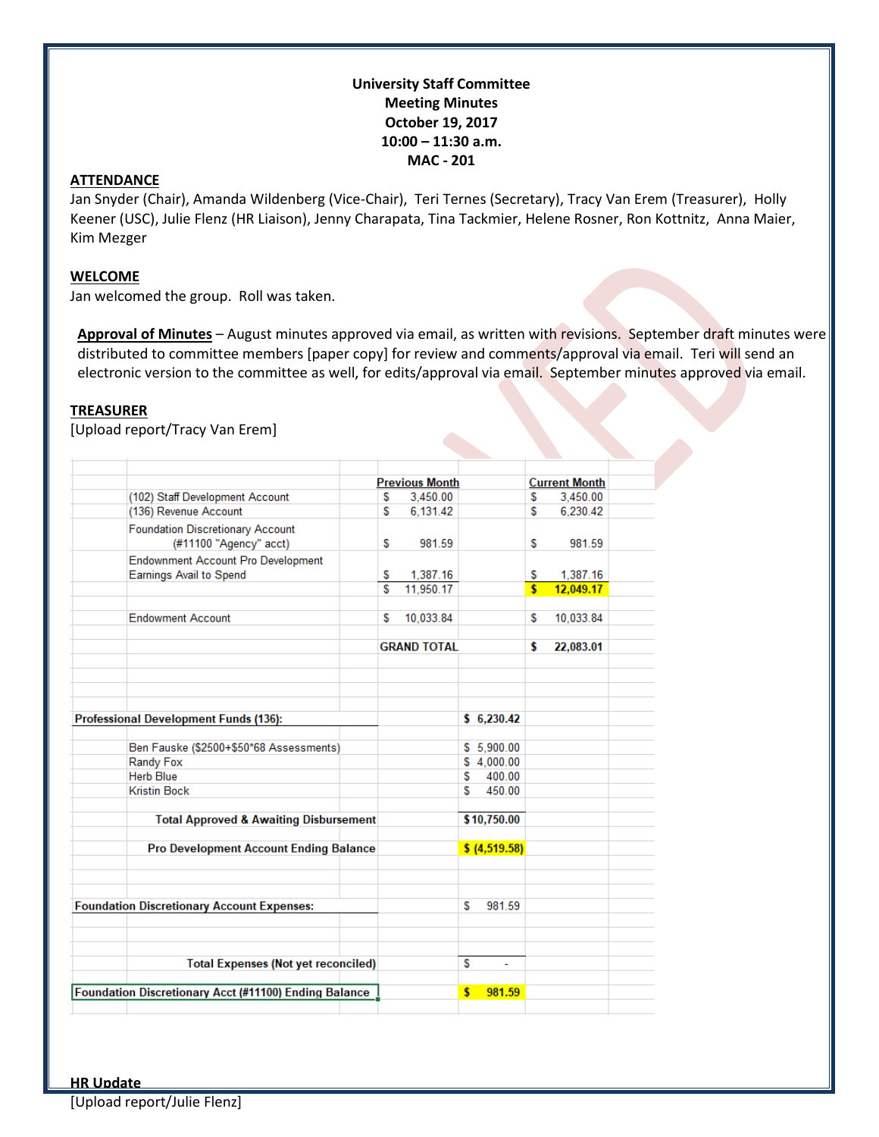# **University Staff Committee Meeting Minutes October 19, 2017 10:00 – 11:30 a.m. MAC - 201**

#### **ATTENDANCE**

Jan Snyder (Chair), Amanda Wildenberg (Vice-Chair), Teri Ternes (Secretary), Tracy Van Erem (Treasurer), Holly Keener (USC), Julie Flenz (HR Liaison), Jenny Charapata, Tina Tackmier, Helene Rosner, Ron Kottnitz, Anna Maier, Kim Mezger

#### **WELCOME**

Jan welcomed the group. Roll was taken.

**Approval of Minutes** – August minutes approved via email, as written with revisions. September draft minutes were distributed to committee members [paper copy] for review and comments/approval via email. Teri will send an electronic version to the committee as well, for edits/approval via email. September minutes approved via email.

# **TREASURER**

[Upload report/Tracy Van Erem]

|                                                              |                                                                             |  | <b>Previous Month</b> |                    |    |                | <b>Current Month</b>    |           |  |
|--------------------------------------------------------------|-----------------------------------------------------------------------------|--|-----------------------|--------------------|----|----------------|-------------------------|-----------|--|
|                                                              | (102) Staff Development Account                                             |  | S                     | 3.450.00           |    |                | S                       | 3.450.00  |  |
|                                                              | (136) Revenue Account                                                       |  | S                     | 6,131.42           |    |                | S                       | 6,230.42  |  |
|                                                              | <b>Foundation Discretionary Account</b><br>(#11100 "Agency" acct)           |  | S                     | 981.59             |    |                | S                       | 981.59    |  |
|                                                              | <b>Endownment Account Pro Development</b><br><b>Earnings Avail to Spend</b> |  | S                     | 1,387.16           |    |                | S                       | 1.387.16  |  |
|                                                              |                                                                             |  | S                     | 11,950.17          |    |                | $\overline{\mathbf{s}}$ | 12,049.17 |  |
|                                                              | <b>Endowment Account</b>                                                    |  | S                     | 10,033.84          |    |                | S                       | 10,033.84 |  |
|                                                              |                                                                             |  |                       | <b>GRAND TOTAL</b> |    |                | \$                      | 22,083.01 |  |
|                                                              |                                                                             |  |                       |                    |    |                |                         |           |  |
|                                                              |                                                                             |  |                       |                    |    |                |                         |           |  |
|                                                              |                                                                             |  |                       |                    |    |                |                         |           |  |
|                                                              |                                                                             |  |                       |                    |    |                |                         |           |  |
| <b>Professional Development Funds (136):</b>                 |                                                                             |  |                       |                    |    | \$6,230.42     |                         |           |  |
|                                                              |                                                                             |  |                       |                    |    |                |                         |           |  |
|                                                              | Ben Fauske (\$2500+\$50*68 Assessments)                                     |  |                       |                    |    | \$5,900.00     |                         |           |  |
|                                                              | Randy Fox                                                                   |  |                       |                    |    | \$4,000.00     |                         |           |  |
|                                                              | <b>Herb Blue</b>                                                            |  |                       |                    | S  | 400.00         |                         |           |  |
|                                                              | <b>Kristin Bock</b>                                                         |  |                       |                    | S  | 450.00         |                         |           |  |
|                                                              |                                                                             |  |                       |                    |    | \$10,750.00    |                         |           |  |
|                                                              | <b>Total Approved &amp; Awaiting Disbursement</b>                           |  |                       |                    |    |                |                         |           |  |
|                                                              | <b>Pro Development Account Ending Balance</b>                               |  |                       |                    |    | \$ (4, 519.58) |                         |           |  |
|                                                              |                                                                             |  |                       |                    |    |                |                         |           |  |
|                                                              |                                                                             |  |                       |                    |    |                |                         |           |  |
|                                                              |                                                                             |  |                       |                    |    |                |                         |           |  |
| <b>Foundation Discretionary Account Expenses:</b>            |                                                                             |  |                       |                    | S  | 981.59         |                         |           |  |
|                                                              |                                                                             |  |                       |                    |    |                |                         |           |  |
|                                                              |                                                                             |  |                       |                    |    |                |                         |           |  |
|                                                              |                                                                             |  |                       |                    |    |                |                         |           |  |
| <b>Total Expenses (Not yet reconciled)</b>                   |                                                                             |  |                       |                    | S  | ÷.             |                         |           |  |
|                                                              |                                                                             |  |                       |                    |    |                |                         |           |  |
| <b>Foundation Discretionary Acct (#11100) Ending Balance</b> |                                                                             |  |                       |                    | \$ | 981.59         |                         |           |  |
|                                                              |                                                                             |  |                       |                    |    |                |                         |           |  |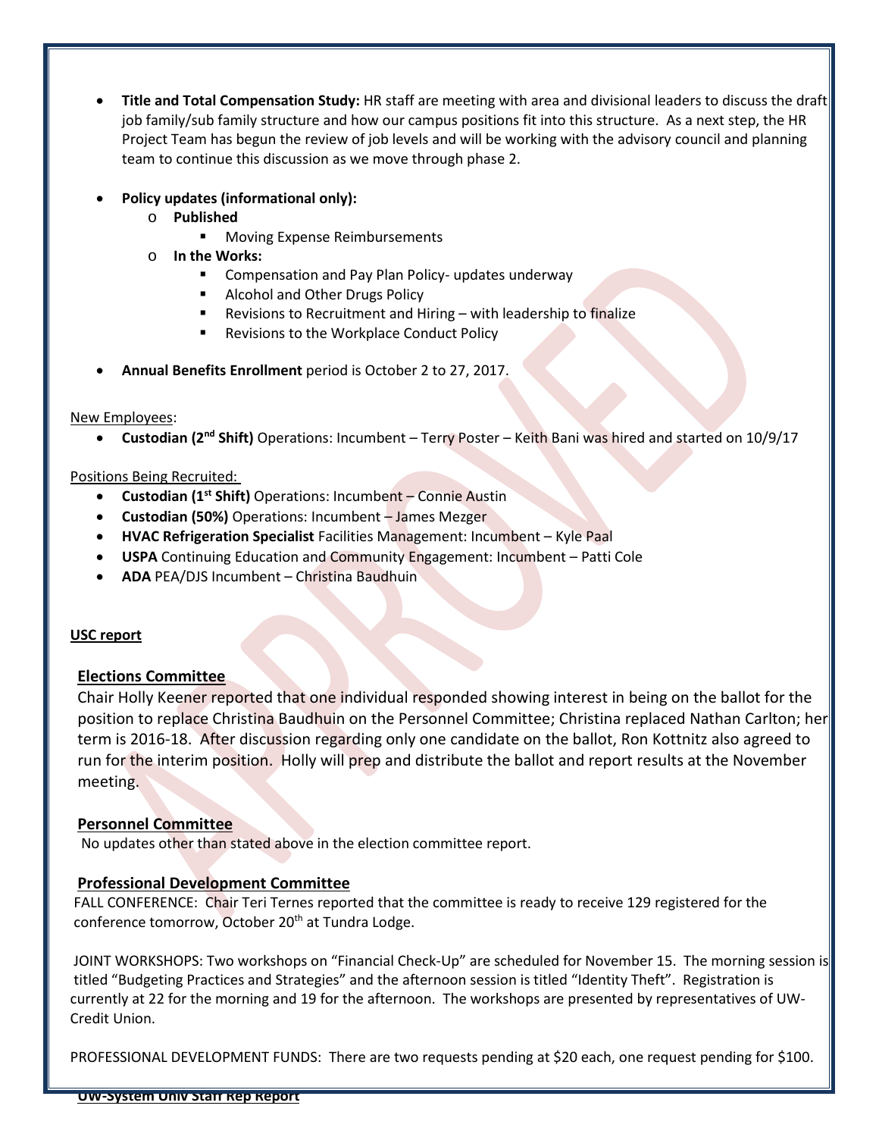- **Title and Total Compensation Study:** HR staff are meeting with area and divisional leaders to discuss the draft job family/sub family structure and how our campus positions fit into this structure. As a next step, the HR Project Team has begun the review of job levels and will be working with the advisory council and planning team to continue this discussion as we move through phase 2.
- **Policy updates (informational only):** 
	- o **Published**
		- **Moving Expense Reimbursements**
	- o **In the Works:**
		- **EXP** Compensation and Pay Plan Policy- updates underway
		- **Alcohol and Other Drugs Policy**
		- Revisions to Recruitment and Hiring with leadership to finalize
		- **Revisions to the Workplace Conduct Policy**
- **Annual Benefits Enrollment** period is October 2 to 27, 2017.

#### New Employees:

• **Custodian (2nd Shift)** Operations: Incumbent – Terry Poster – Keith Bani was hired and started on 10/9/17

## Positions Being Recruited:

- **Custodian (1st Shift)** Operations: Incumbent Connie Austin
- **Custodian (50%)** Operations: Incumbent James Mezger
- **HVAC Refrigeration Specialist** Facilities Management: Incumbent Kyle Paal
- **USPA** Continuing Education and Community Engagement: Incumbent Patti Cole
- **ADA** PEA/DJS Incumbent Christina Baudhuin

## **USC report**

## **Elections Committee**

Chair Holly Keener reported that one individual responded showing interest in being on the ballot for the position to replace Christina Baudhuin on the Personnel Committee; Christina replaced Nathan Carlton; her term is 2016-18. After discussion regarding only one candidate on the ballot, Ron Kottnitz also agreed to run for the interim position. Holly will prep and distribute the ballot and report results at the November meeting.

## **Personnel Committee**

No updates other than stated above in the election committee report.

## **Professional Development Committee**

FALL CONFERENCE: Chair Teri Ternes reported that the committee is ready to receive 129 registered for the conference tomorrow, October 20<sup>th</sup> at Tundra Lodge.

JOINT WORKSHOPS: Two workshops on "Financial Check-Up" are scheduled for November 15. The morning session is titled "Budgeting Practices and Strategies" and the afternoon session is titled "Identity Theft". Registration is currently at 22 for the morning and 19 for the afternoon. The workshops are presented by representatives of UW-Credit Union.

PROFESSIONAL DEVELOPMENT FUNDS: There are two requests pending at \$20 each, one request pending for \$100.